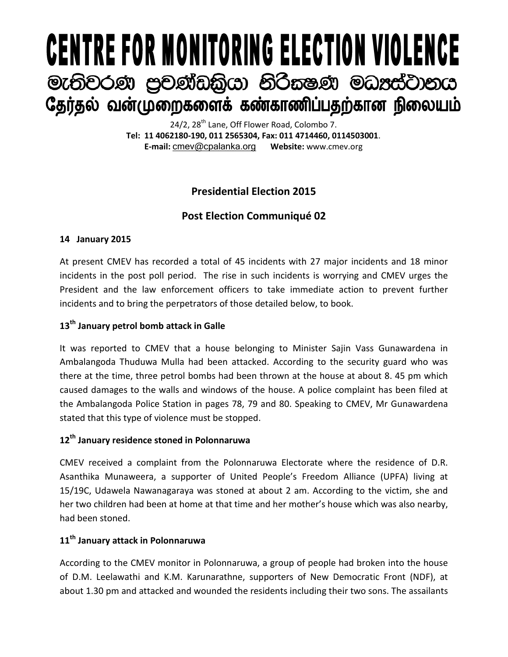# **CENTRE FOR MONITORING ELECTION VIOLENCE** මැතිවරණ පුචණ්ඩකිුයා නිරිකෂණ මධාප්ටානය தேர்தல் வன்முறைகளைக் கண்காணிப்பதற்கான நிலையம்

24/2, 28<sup>th</sup> Lane, Off Flower Road, Colombo 7. **Tel: 11 4062180-190, 011 2565304, Fax: 011 4714460, 0114503001**. **E-mail:** [cmev@cpalanka.org](mailto:cmev@cpalanka.org) **Website:** www.cmev.org

# **Presidential Election 2015**

# **Post Election Communiqué 02**

# **14 January 2015**

At present CMEV has recorded a total of 45 incidents with 27 major incidents and 18 minor incidents in the post poll period. The rise in such incidents is worrying and CMEV urges the President and the law enforcement officers to take immediate action to prevent further incidents and to bring the perpetrators of those detailed below, to book.

# **13th January petrol bomb attack in Galle**

It was reported to CMEV that a house belonging to Minister Sajin Vass Gunawardena in Ambalangoda Thuduwa Mulla had been attacked. According to the security guard who was there at the time, three petrol bombs had been thrown at the house at about 8. 45 pm which caused damages to the walls and windows of the house. A police complaint has been filed at the Ambalangoda Police Station in pages 78, 79 and 80. Speaking to CMEV, Mr Gunawardena stated that this type of violence must be stopped.

# **12th January residence stoned in Polonnaruwa**

CMEV received a complaint from the Polonnaruwa Electorate where the residence of D.R. Asanthika Munaweera, a supporter of United People's Freedom Alliance (UPFA) living at 15/19C, Udawela Nawanagaraya was stoned at about 2 am. According to the victim, she and her two children had been at home at that time and her mother's house which was also nearby, had been stoned.

## **11th January attack in Polonnaruwa**

According to the CMEV monitor in Polonnaruwa, a group of people had broken into the house of D.M. Leelawathi and K.M. Karunarathne, supporters of New Democratic Front (NDF), at about 1.30 pm and attacked and wounded the residents including their two sons. The assailants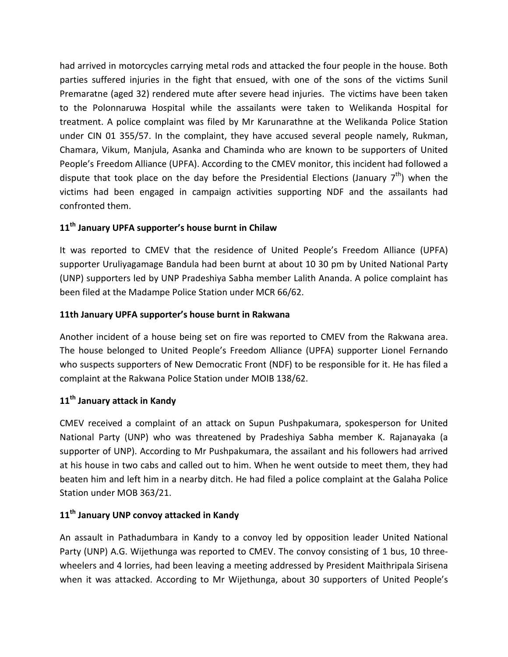had arrived in motorcycles carrying metal rods and attacked the four people in the house. Both parties suffered injuries in the fight that ensued, with one of the sons of the victims Sunil Premaratne (aged 32) rendered mute after severe head injuries. The victims have been taken to the Polonnaruwa Hospital while the assailants were taken to Welikanda Hospital for treatment. A police complaint was filed by Mr Karunarathne at the Welikanda Police Station under CIN 01 355/57. In the complaint, they have accused several people namely, Rukman, Chamara, Vikum, Manjula, Asanka and Chaminda who are known to be supporters of United People's Freedom Alliance (UPFA). According to the CMEV monitor, this incident had followed a dispute that took place on the day before the Presidential Elections (January  $7<sup>th</sup>$ ) when the victims had been engaged in campaign activities supporting NDF and the assailants had confronted them.

## **11th January UPFA supporter's house burnt in Chilaw**

It was reported to CMEV that the residence of United People's Freedom Alliance (UPFA) supporter Uruliyagamage Bandula had been burnt at about 10 30 pm by United National Party (UNP) supporters led by UNP Pradeshiya Sabha member Lalith Ananda. A police complaint has been filed at the Madampe Police Station under MCR 66/62.

## **11th January UPFA supporter's house burnt in Rakwana**

Another incident of a house being set on fire was reported to CMEV from the Rakwana area. The house belonged to United People's Freedom Alliance (UPFA) supporter Lionel Fernando who suspects supporters of New Democratic Front (NDF) to be responsible for it. He has filed a complaint at the Rakwana Police Station under MOIB 138/62.

# **11th January attack in Kandy**

CMEV received a complaint of an attack on Supun Pushpakumara, spokesperson for United National Party (UNP) who was threatened by Pradeshiya Sabha member K. Rajanayaka (a supporter of UNP). According to Mr Pushpakumara, the assailant and his followers had arrived at his house in two cabs and called out to him. When he went outside to meet them, they had beaten him and left him in a nearby ditch. He had filed a police complaint at the Galaha Police Station under MOB 363/21.

# **11th January UNP convoy attacked in Kandy**

An assault in Pathadumbara in Kandy to a convoy led by opposition leader United National Party (UNP) A.G. Wijethunga was reported to CMEV. The convoy consisting of 1 bus, 10 threewheelers and 4 lorries, had been leaving a meeting addressed by President Maithripala Sirisena when it was attacked. According to Mr Wijethunga, about 30 supporters of United People's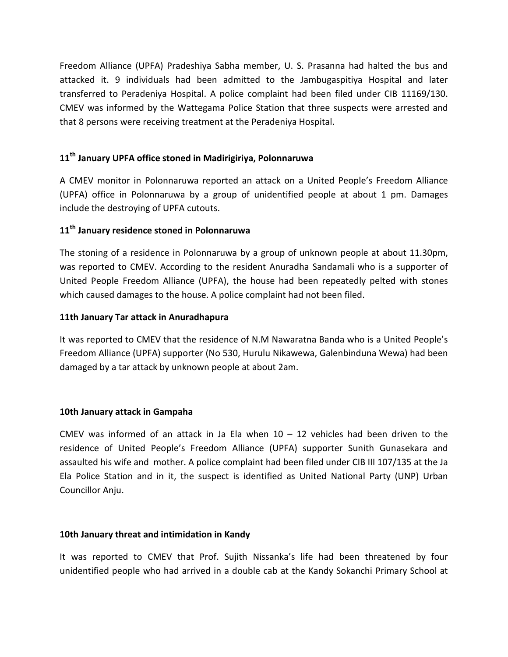Freedom Alliance (UPFA) Pradeshiya Sabha member, U. S. Prasanna had halted the bus and attacked it. 9 individuals had been admitted to the Jambugaspitiya Hospital and later transferred to Peradeniya Hospital. A police complaint had been filed under CIB 11169/130. CMEV was informed by the Wattegama Police Station that three suspects were arrested and that 8 persons were receiving treatment at the Peradeniya Hospital.

## **11th January UPFA office stoned in Madirigiriya, Polonnaruwa**

A CMEV monitor in Polonnaruwa reported an attack on a United People's Freedom Alliance (UPFA) office in Polonnaruwa by a group of unidentified people at about 1 pm. Damages include the destroying of UPFA cutouts.

## **11th January residence stoned in Polonnaruwa**

The stoning of a residence in Polonnaruwa by a group of unknown people at about 11.30pm, was reported to CMEV. According to the resident Anuradha Sandamali who is a supporter of United People Freedom Alliance (UPFA), the house had been repeatedly pelted with stones which caused damages to the house. A police complaint had not been filed.

## **11th January Tar attack in Anuradhapura**

It was reported to CMEV that the residence of N.M Nawaratna Banda who is a United People's Freedom Alliance (UPFA) supporter (No 530, Hurulu Nikawewa, Galenbinduna Wewa) had been damaged by a tar attack by unknown people at about 2am.

#### **10th January attack in Gampaha**

CMEV was informed of an attack in Ja Ela when  $10 - 12$  vehicles had been driven to the residence of United People's Freedom Alliance (UPFA) supporter Sunith Gunasekara and assaulted his wife and mother. A police complaint had been filed under CIB III 107/135 at the Ja Ela Police Station and in it, the suspect is identified as United National Party (UNP) Urban Councillor Anju.

#### **10th January threat and intimidation in Kandy**

It was reported to CMEV that Prof. Sujith Nissanka's life had been threatened by four unidentified people who had arrived in a double cab at the Kandy Sokanchi Primary School at